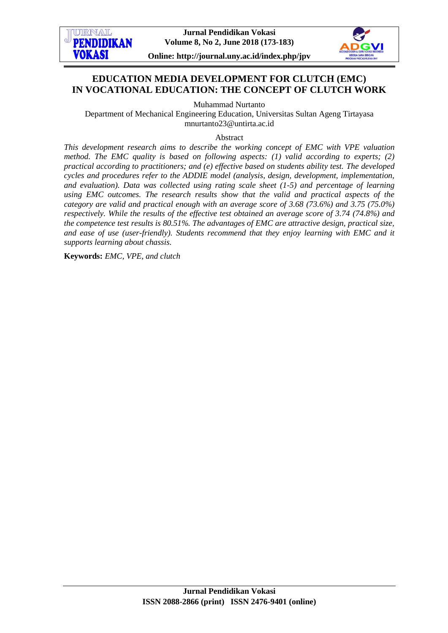

# **EDUCATION MEDIA DEVELOPMENT FOR CLUTCH (EMC) IN VOCATIONAL EDUCATION: THE CONCEPT OF CLUTCH WORK**

Muhammad Nurtanto

Department of Mechanical Engineering Education, Universitas Sultan Ageng Tirtayasa [mnurtanto23@untirta.ac.id](mailto:mnurtanto23@untirta.ac.id)

Abstract

*This development research aims to describe the working concept of EMC with VPE valuation method. The EMC quality is based on following aspects: (1) valid according to experts; (2) practical according to practitioners; and (e) effective based on students ability test. The developed cycles and procedures refer to the ADDIE model (analysis, design, development, implementation, and evaluation). Data was collected using rating scale sheet (1-5) and percentage of learning using EMC outcomes. The research results show that the valid and practical aspects of the category are valid and practical enough with an average score of 3.68 (73.6%) and 3.75 (75.0%) respectively. While the results of the effective test obtained an average score of 3.74 (74.8%) and the competence test results is 80.51%. The advantages of EMC are attractive design, practical size, and ease of use (user-friendly). Students recommend that they enjoy learning with EMC and it supports learning about chassis.*

**Keywords:** *EMC, VPE, and clutch*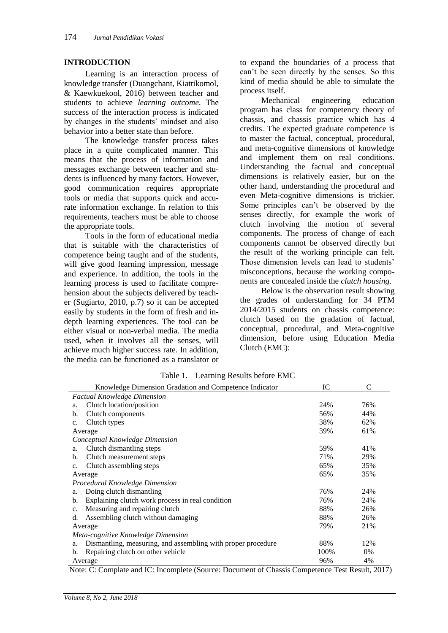#### **INTRODUCTION**

Learning is an interaction process of knowledge transfer (Duangchant, Kiattikomol, & Kaewkuekool, 2016) between teacher and students to achieve *learning outcome*. The success of the interaction process is indicated by changes in the students' mindset and also behavior into a better state than before.

The knowledge transfer process takes place in a quite complicated manner. This means that the process of information and messages exchange between teacher and students is influenced by many factors. However, good communication requires appropriate tools or media that supports quick and accurate information exchange. In relation to this requirements, teachers must be able to choose the appropriate tools.

Tools in the form of educational media that is suitable with the characteristics of competence being taught and of the students, will give good learning impression, message and experience. In addition, the tools in the learning process is used to facilitate comprehension about the subjects delivered by teacher (Sugiarto, 2010, p.7) so it can be accepted easily by students in the form of fresh and indepth learning experiences. The tool can be either visual or non-verbal media. The media used, when it involves all the senses, will achieve much higher success rate. In addition, the media can be functioned as a translator or

to expand the boundaries of a process that can't be seen directly by the senses. So this kind of media should be able to simulate the process itself.

Mechanical engineering education program has class for competency theory of chassis, and chassis practice which has 4 credits. The expected graduate competence is to master the factual, conceptual, procedural, and meta-cognitive dimensions of knowledge and implement them on real conditions. Understanding the factual and conceptual dimensions is relatively easier, but on the other hand, understanding the procedural and even Meta-cognitive dimensions is trickier. Some principles can't be observed by the senses directly, for example the work of clutch involving the motion of several components. The process of change of each components cannot be observed directly but the result of the working principle can felt. Those dimension levels can lead to students' misconceptions, because the working components are concealed inside the *clutch housing*.

Below is the observation result showing the grades of understanding for 34 PTM 2014/2015 students on chassis competence: clutch based on the gradation of factual, conceptual, procedural, and Meta-cognitive dimension, before using Education Media Clutch (EMC):

| Knowledge Dimension Gradation and Competence Indicator             | IC   | C     |  |
|--------------------------------------------------------------------|------|-------|--|
| <b>Factual Knowledge Dimension</b>                                 |      |       |  |
| Clutch location/position<br>a.                                     | 24%  | 76%   |  |
| Clutch components<br>b.                                            | 56%  | 44%   |  |
| Clutch types<br>c.                                                 | 38%  | 62%   |  |
| Average                                                            | 39%  | 61%   |  |
| Conceptual Knowledge Dimension                                     |      |       |  |
| Clutch dismantling steps<br>a.                                     | 59%  | 41%   |  |
| Clutch measurement steps<br>b.                                     | 71%  | 29%   |  |
| Clutch assembling steps<br>c.                                      | 65%  | 35%   |  |
| Average                                                            | 65%  | 35%   |  |
| Procedural Knowledge Dimension                                     |      |       |  |
| Doing clutch dismantling<br>a.                                     | 76%  | 24%   |  |
| Explaining clutch work process in real condition<br>b.             | 76%  | 24%   |  |
| Measuring and repairing clutch<br>c.                               | 88%  | 26%   |  |
| Assembling clutch without damaging<br>d.                           | 88%  | 26%   |  |
| Average                                                            | 79%  | 21%   |  |
| Meta-cognitive Knowledge Dimension                                 |      |       |  |
| Dismantling, measuring, and assembling with proper procedure<br>a. | 88%  | 12%   |  |
| Repairing clutch on other vehicle<br>b.                            | 100% | $0\%$ |  |
| Average                                                            | 96%  | 4%    |  |

Table 1. Learning Results before EMC

Note: C: Complate and IC: Incomplete (Source: Document of Chassis Competence Test Result, 2017)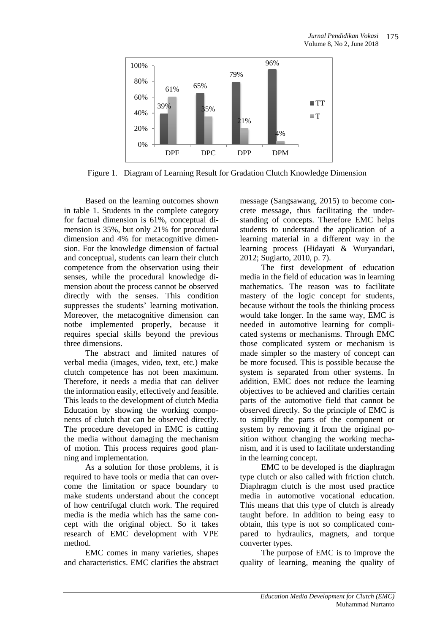

Figure 1. Diagram of Learning Result for Gradation Clutch Knowledge Dimension

Based on the learning outcomes shown in table 1. Students in the complete category for factual dimension is 61%, conceptual dimension is 35%, but only 21% for procedural dimension and 4% for metacognitive dimension. For the knowledge dimension of factual and conceptual, students can learn their clutch competence from the observation using their senses, while the procedural knowledge dimension about the process cannot be observed directly with the senses. This condition suppresses the students' learning motivation. Moreover, the metacognitive dimension can notbe implemented properly, because it requires special skills beyond the previous three dimensions.

The abstract and limited natures of verbal media (images, video, text, etc.) make clutch competence has not been maximum. Therefore, it needs a media that can deliver the information easily, effectively and feasible. This leads to the development of clutch Media Education by showing the working components of clutch that can be observed directly. The procedure developed in EMC is cutting the media without damaging the mechanism of motion. This process requires good planning and implementation.

As a solution for those problems, it is required to have tools or media that can overcome the limitation or space boundary to make students understand about the concept of how centrifugal clutch work. The required media is the media which has the same concept with the original object. So it takes research of EMC development with VPE method.

EMC comes in many varieties, shapes and characteristics. EMC clarifies the abstract

message (Sangsawang, 2015) to become concrete message, thus facilitating the understanding of concepts. Therefore EMC helps students to understand the application of a learning material in a different way in the learning process (Hidayati & Wuryandari, 2012; Sugiarto, 2010, p. 7).

The first development of education media in the field of education was in learning mathematics. The reason was to facilitate mastery of the logic concept for students, because without the tools the thinking process would take longer. In the same way, EMC is needed in automotive learning for complicated systems or mechanisms. Through EMC those complicated system or mechanism is made simpler so the mastery of concept can be more focused. This is possible because the system is separated from other systems. In addition, EMC does not reduce the learning objectives to be achieved and clarifies certain parts of the automotive field that cannot be observed directly. So the principle of EMC is to simplify the parts of the component or system by removing it from the original position without changing the working mechanism, and it is used to facilitate understanding in the learning concept.

EMC to be developed is the diaphragm type clutch or also called with friction clutch. Diaphragm clutch is the most used practice media in automotive vocational education. This means that this type of clutch is already taught before. In addition to being easy to obtain, this type is not so complicated compared to hydraulics, magnets, and torque converter types.

The purpose of EMC is to improve the quality of learning, meaning the quality of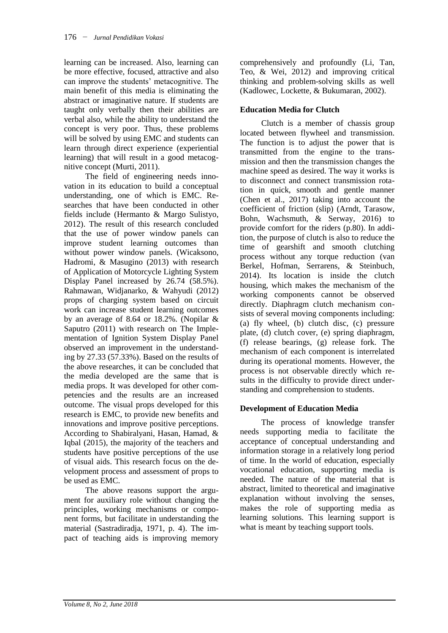learning can be increased. Also, learning can be more effective, focused, attractive and also can improve the students' metacognitive. The main benefit of this media is eliminating the abstract or imaginative nature. If students are taught only verbally then their abilities are verbal also, while the ability to understand the concept is very poor. Thus, these problems will be solved by using EMC and students can learn through direct experience (experiential learning) that will result in a good metacognitive concept (Murti, 2011).

The field of engineering needs innovation in its education to build a conceptual understanding, one of which is EMC. Researches that have been conducted in other fields include (Hermanto & Margo Sulistyo, 2012). The result of this research concluded that the use of power window panels can improve student learning outcomes than without power window panels. (Wicaksono, Hadromi, & Masugino (2013) with research of Application of Motorcycle Lighting System Display Panel increased by 26.74 (58.5%). Rahmawan, Widjanarko, & Wahyudi (2012) props of charging system based on circuit work can increase student learning outcomes by an average of 8.64 or 18.2%. (Nopilar & Saputro (2011) with research on The Implementation of Ignition System Display Panel observed an improvement in the understanding by 27.33 (57.33%). Based on the results of the above researches, it can be concluded that the media developed are the same that is media props. It was developed for other competencies and the results are an increased outcome. The visual props developed for this research is EMC, to provide new benefits and innovations and improve positive perceptions. According to Shabiralyani, Hasan, Hamad, & Iqbal (2015), the majority of the teachers and students have positive perceptions of the use of visual aids. This research focus on the development process and assessment of props to be used as EMC.

The above reasons support the argument for auxiliary role without changing the principles, working mechanisms or component forms, but facilitate in understanding the material (Sastradiradja, 1971, p. 4). The impact of teaching aids is improving memory

comprehensively and profoundly (Li, Tan, Teo, & Wei, 2012) and improving critical thinking and problem-solving skills as well (Kadlowec, Lockette, & Bukumaran, 2002).

### **Education Media for Clutch**

Clutch is a member of chassis group located between flywheel and transmission. The function is to adjust the power that is transmitted from the engine to the transmission and then the transmission changes the machine speed as desired. The way it works is to disconnect and connect transmission rotation in quick, smooth and gentle manner (Chen et al., 2017) taking into account the coefficient of friction (slip) (Arndt, Tarasow, Bohn, Wachsmuth, & Serway, 2016) to provide comfort for the riders (p.80). In addition, the purpose of clutch is also to reduce the time of gearshift and smooth clutching process without any torque reduction (van Berkel, Hofman, Serrarens, & Steinbuch, 2014). Its location is inside the clutch housing, which makes the mechanism of the working components cannot be observed directly. Diaphragm clutch mechanism consists of several moving components including: (a) fly wheel, (b) clutch disc, (c) pressure plate, (d) clutch cover, (e) spring diaphragm, (f) release bearings, (g) release fork. The mechanism of each component is interrelated during its operational moments. However, the process is not observable directly which results in the difficulty to provide direct understanding and comprehension to students.

### **Development of Education Media**

The process of knowledge transfer needs supporting media to facilitate the acceptance of conceptual understanding and information storage in a relatively long period of time. In the world of education, especially vocational education, supporting media is needed. The nature of the material that is abstract, limited to theoretical and imaginative explanation without involving the senses, makes the role of supporting media as learning solutions. This learning support is what is meant by teaching support tools.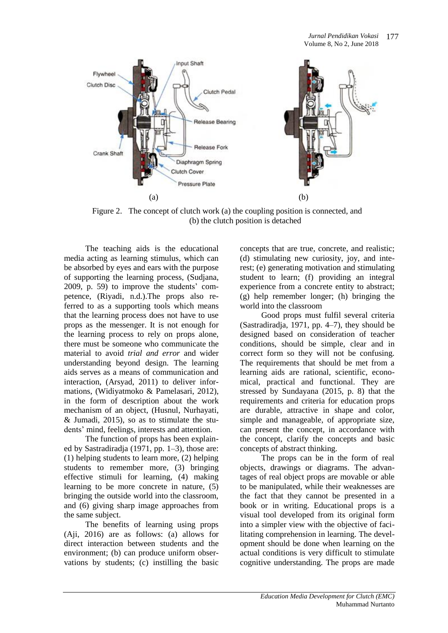

Figure 2. The concept of clutch work (a) the coupling position is connected, and (b) the clutch position is detached

The teaching aids is the educational media acting as learning stimulus, which can be absorbed by eyes and ears with the purpose of supporting the learning process, (Sudjana, 2009, p. 59) to improve the students' competence, (Riyadi, n.d.).The props also referred to as a supporting tools which means that the learning process does not have to use props as the messenger. It is not enough for the learning process to rely on props alone, there must be someone who communicate the material to avoid *trial and error* and wider understanding beyond design. The learning aids serves as a means of communication and interaction, (Arsyad, 2011) to deliver informations, (Widiyatmoko & Pamelasari, 2012), in the form of description about the work mechanism of an object, (Husnul, Nurhayati, & Jumadi, 2015), so as to stimulate the students' mind, feelings, interests and attention.

The function of props has been explained by Sastradiradja (1971, pp. 1–3), those are: (1) helping students to learn more, (2) helping students to remember more, (3) bringing effective stimuli for learning, (4) making learning to be more concrete in nature, (5) bringing the outside world into the classroom, and (6) giving sharp image approaches from the same subject.

The benefits of learning using props (Aji, 2016) are as follows: (a) allows for direct interaction between students and the environment; (b) can produce uniform observations by students; (c) instilling the basic concepts that are true, concrete, and realistic; (d) stimulating new curiosity, joy, and interest; (e) generating motivation and stimulating student to learn; (f) providing an integral experience from a concrete entity to abstract; (g) help remember longer; (h) bringing the world into the classroom

Good props must fulfil several criteria (Sastradiradja, 1971, pp. 4–7), they should be designed based on consideration of teacher conditions, should be simple, clear and in correct form so they will not be confusing. The requirements that should be met from a learning aids are rational, scientific, economical, practical and functional. They are stressed by Sundayana (2015, p. 8) that the requirements and criteria for education props are durable, attractive in shape and color, simple and manageable, of appropriate size, can present the concept, in accordance with the concept, clarify the concepts and basic concepts of abstract thinking.

The props can be in the form of real objects, drawings or diagrams. The advantages of real object props are movable or able to be manipulated, while their weaknesses are the fact that they cannot be presented in a book or in writing. Educational props is a visual tool developed from its original form into a simpler view with the objective of facilitating comprehension in learning. The development should be done when learning on the actual conditions is very difficult to stimulate cognitive understanding. The props are made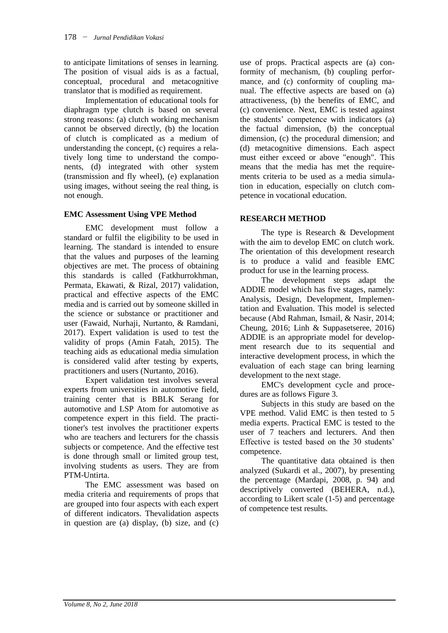to anticipate limitations of senses in learning. The position of visual aids is as a factual, conceptual, procedural and metacognitive translator that is modified as requirement.

Implementation of educational tools for diaphragm type clutch is based on several strong reasons: (a) clutch working mechanism cannot be observed directly, (b) the location of clutch is complicated as a medium of understanding the concept, (c) requires a relatively long time to understand the components, (d) integrated with other system (transmission and fly wheel), (e) explanation using images, without seeing the real thing, is not enough.

### **EMC Assessment Using VPE Method**

EMC development must follow a standard or fulfil the eligibility to be used in learning. The standard is intended to ensure that the values and purposes of the learning objectives are met. The process of obtaining this standards is called (Fatkhurrokhman, Permata, Ekawati, & Rizal, 2017) validation, practical and effective aspects of the EMC media and is carried out by someone skilled in the science or substance or practitioner and user (Fawaid, Nurhaji, Nurtanto, & Ramdani, 2017). Expert validation is used to test the validity of props (Amin Fatah, 2015). The teaching aids as educational media simulation is considered valid after testing by experts, practitioners and users (Nurtanto, 2016).

Expert validation test involves several experts from universities in automotive field, training center that is BBLK Serang for automotive and LSP Atom for automotive as competence expert in this field. The practitioner's test involves the practitioner experts who are teachers and lecturers for the chassis subjects or competence. And the effective test is done through small or limited group test, involving students as users. They are from PTM-Untirta.

The EMC assessment was based on media criteria and requirements of props that are grouped into four aspects with each expert of different indicators. Thevalidation aspects in question are (a) display, (b) size, and (c)

use of props. Practical aspects are (a) conformity of mechanism, (b) coupling performance, and (c) conformity of coupling manual. The effective aspects are based on (a) attractiveness, (b) the benefits of EMC, and (c) convenience. Next, EMC is tested against the students' competence with indicators (a) the factual dimension, (b) the conceptual dimension, (c) the procedural dimension; and (d) metacognitive dimensions. Each aspect must either exceed or above "enough". This means that the media has met the requirements criteria to be used as a media simulation in education, especially on clutch competence in vocational education.

#### **RESEARCH METHOD**

The type is Research & Development with the aim to develop EMC on clutch work. The orientation of this development research is to produce a valid and feasible EMC product for use in the learning process.

The development steps adapt the ADDIE model which has five stages, namely: Analysis, Design, Development, Implementation and Evaluation. This model is selected because (Abd Rahman, Ismail, & Nasir, 2014; Cheung, 2016; Linh & Suppasetseree, 2016) ADDIE is an appropriate model for development research due to its sequential and interactive development process, in which the evaluation of each stage can bring learning development to the next stage.

EMC's development cycle and procedures are as follows Figure 3.

Subjects in this study are based on the VPE method. Valid EMC is then tested to 5 media experts. Practical EMC is tested to the user of 7 teachers and lecturers. And then Effective is tested based on the 30 students' competence.

The quantitative data obtained is then analyzed (Sukardi et al., 2007), by presenting the percentage (Mardapi, 2008, p. 94) and descriptively converted (BEHERA, n.d.), according to Likert scale (1-5) and percentage of competence test results.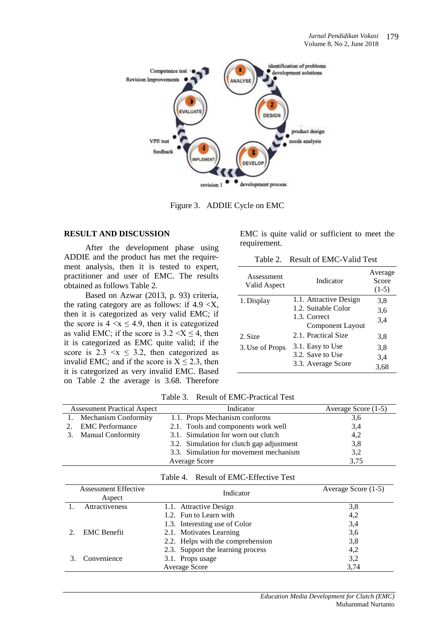

Figure 3. ADDIE Cycle on EMC

#### **RESULT AND DISCUSSION**

After the development phase using ADDIE and the product has met the requirement analysis, then it is tested to expert, practitioner and user of EMC. The results obtained as follows Table 2.

Based on Azwar (2013, p. 93) criteria, the rating category are as follows: if  $4.9 \le X$ , then it is categorized as very valid EMC; if the score is  $4 \le x \le 4.9$ , then it is categorized as valid EMC; if the score is  $3.2 \le X \le 4$ , then it is categorized as EMC quite valid; if the score is  $2.3 \le x \le 3.2$ , then categorized as invalid EMC; and if the score is  $X \le 2.3$ , then it is categorized as very invalid EMC. Based on Table 2 the average is 3.68. Therefore EMC is quite valid or sufficient to meet the requirement.

Table 2. Result of EMC-Valid Test

| Assessment<br>Valid Aspect | Indicator                        | Average<br>Score<br>$(1-5)$ |
|----------------------------|----------------------------------|-----------------------------|
| 1. Display                 | 1.1. Attractive Design           | 3,8                         |
|                            | 1.2. Suitable Color              | 3,6                         |
|                            | 1.3. Correct<br>Component Layout | 3.4                         |
| 2. Size                    | 2.1. Practical Size              | 3,8                         |
| 3. Use of Props            | 3.1. Easy to Use                 | 3,8                         |
|                            | 3.2. Save to Use                 | 3.4                         |
|                            | 3.3. Average Score               | 3.68                        |

|  | Table 3. | <b>Result of EMC-Practical Test</b> |  |
|--|----------|-------------------------------------|--|
|--|----------|-------------------------------------|--|

| <b>Assessment Practical Aspect</b> | Indicator                                 | Average Score (1-5) |
|------------------------------------|-------------------------------------------|---------------------|
| 1. Mechanism Conformity            | 1.1. Props Mechanism conforms             | 3,6                 |
| 2. EMC Performance                 | 2.1. Tools and components work well       | 3,4                 |
| 3. Manual Conformity               | 3.1. Simulation for worn out clutch       | 4,2                 |
|                                    | 3.2. Simulation for clutch gap adjustment | 3,8                 |
|                                    | 3.3. Simulation for movement mechanism    | 3,2                 |
|                                    | Average Score                             | 3,75                |

#### Table 4. Result of EMC-Effective Test

| <b>Assessment Effective</b> | Indicator                         | Average Score (1-5) |
|-----------------------------|-----------------------------------|---------------------|
| Aspect                      |                                   |                     |
| Attractiveness              | 1.1. Attractive Design            | 3,8                 |
|                             | 1.2. Fun to Learn with            | 4,2                 |
|                             | 1.3. Interesting use of Color     | 3,4                 |
| <b>EMC</b> Benefit          | 2.1. Motivates Learning           | 3,6                 |
|                             | 2.2. Helps with the comprehension | 3,8                 |
|                             | 2.3. Support the learning process | 4,2                 |
| Convenience                 | 3.1. Props usage                  | 3,2                 |
|                             | Average Score                     | 3.74                |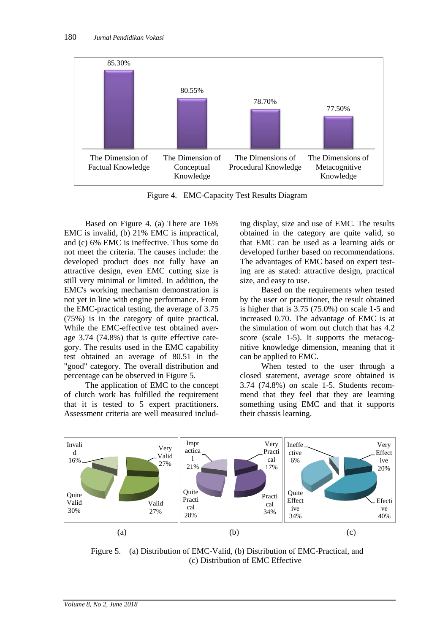

Figure 4. EMC-Capacity Test Results Diagram

Based on Figure 4. (a) There are 16% EMC is invalid, (b) 21% EMC is impractical, and (c) 6% EMC is ineffective. Thus some do not meet the criteria. The causes include: the developed product does not fully have an attractive design, even EMC cutting size is still very minimal or limited. In addition, the EMC's working mechanism demonstration is not yet in line with engine performance. From the EMC-practical testing, the average of 3.75 (75%) is in the category of quite practical. While the EMC-effective test obtained average 3.74 (74.8%) that is quite effective category. The results used in the EMC capability test obtained an average of 80.51 in the "good" category. The overall distribution and percentage can be observed in Figure 5.

The application of EMC to the concept of clutch work has fulfilled the requirement that it is tested to 5 expert practitioners. Assessment criteria are well measured includ-

ing display, size and use of EMC. The results obtained in the category are quite valid, so that EMC can be used as a learning aids or developed further based on recommendations. The advantages of EMC based on expert testing are as stated: attractive design, practical size, and easy to use.

Based on the requirements when tested by the user or practitioner, the result obtained is higher that is 3.75 (75.0%) on scale 1-5 and increased 0.70. The advantage of EMC is at the simulation of worn out clutch that has 4.2 score (scale 1-5). It supports the metacognitive knowledge dimension, meaning that it can be applied to EMC.

When tested to the user through a closed statement, average score obtained is 3.74 (74.8%) on scale 1-5. Students recommend that they feel that they are learning something using EMC and that it supports their chassis learning.



Figure 5. (a) Distribution of EMC-Valid, (b) Distribution of EMC-Practical, and (c) Distribution of EMC Effective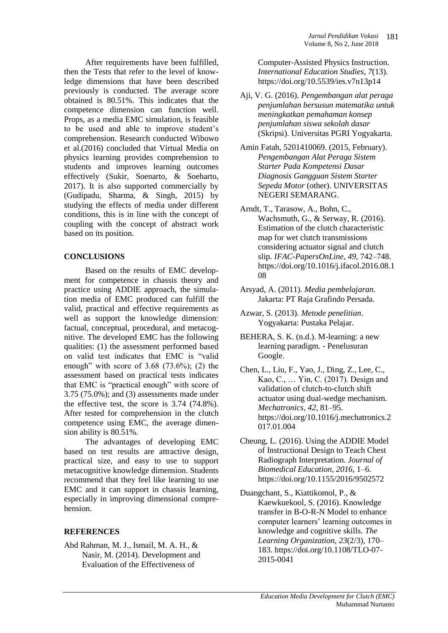After requirements have been fulfilled, then the Tests that refer to the level of knowledge dimensions that have been described previously is conducted. The average score obtained is 80.51%. This indicates that the competence dimension can function well. Props, as a media EMC simulation, is feasible to be used and able to improve student's comprehension. Research conducted Wibowo et al.(2016) concluded that Virtual Media on physics learning provides comprehension to students and improves learning outcomes effectively (Sukir, Soenarto, & Soeharto, 2017). It is also supported commercially by (Gudipadu, Sharma, & Singh, 2015) by studying the effects of media under different conditions, this is in line with the concept of coupling with the concept of abstract work based on its position.

## **CONCLUSIONS**

Based on the results of EMC development for competence in chassis theory and practice using ADDIE approach, the simulation media of EMC produced can fulfill the valid, practical and effective requirements as well as support the knowledge dimension: factual, conceptual, procedural, and metacognitive. The developed EMC has the following qualities: (1) the assessment performed based on valid test indicates that EMC is "valid enough" with score of 3.68 (73.6%); (2) the assessment based on practical tests indicates that EMC is "practical enough" with score of 3.75 (75.0%); and (3) assessments made under the effective test, the score is 3.74 (74.8%). After tested for comprehension in the clutch competence using EMC, the average dimension ability is 80.51%.

The advantages of developing EMC based on test results are attractive design, practical size, and easy to use to support metacognitive knowledge dimension. Students recommend that they feel like learning to use EMC and it can support in chassis learning, especially in improving dimensional comprehension.

# **REFERENCES**

Abd Rahman, M. J., Ismail, M. A. H., & Nasir, M. (2014). Development and Evaluation of the Effectiveness of

Computer-Assisted Physics Instruction. *International Education Studies*, *7*(13). https://doi.org/10.5539/ies.v7n13p14

- Aji, V. G. (2016). *Pengembangan alat peraga penjumlahan bersusun matematika untuk meningkatkan pemahaman konsep penjumlahan siswa sekolah dasar* (Skripsi). Universitas PGRI Yogyakarta.
- Amin Fatah, 5201410069. (2015, February). *Pengembangan Alat Peraga Sistem Starter Pada Kompetensi Dasar Diagnosis Gangguan Sistem Starter Sepeda Motor* (other). UNIVERSITAS NEGERI SEMARANG.
- Arndt, T., Tarasow, A., Bohn, C., Wachsmuth, G., & Serway, R. (2016). Estimation of the clutch characteristic map for wet clutch transmissions considering actuator signal and clutch slip. *IFAC-PapersOnLine*, *49*, 742–748. https://doi.org/10.1016/j.ifacol.2016.08.1 08
- Arsyad, A. (2011). *Media pembelajaran*. Jakarta: PT Raja Grafindo Persada.
- Azwar, S. (2013). *Metode penelitian*. Yogyakarta: Pustaka Pelajar.
- BEHERA, S. K. (n.d.). M-learning: a new learning paradigm. - Penelusuran Google.
- Chen, L., Liu, F., Yao, J., Ding, Z., Lee, C., Kao, C., … Yin, C. (2017). Design and validation of clutch-to-clutch shift actuator using dual-wedge mechanism. *Mechatronics*, *42*, 81–95. https://doi.org/10.1016/j.mechatronics.2 017.01.004
- Cheung, L. (2016). Using the ADDIE Model of Instructional Design to Teach Chest Radiograph Interpretation. *Journal of Biomedical Education*, *2016*, 1–6. https://doi.org/10.1155/2016/9502572
- Duangchant, S., Kiattikomol, P., & Kaewkuekool, S. (2016). Knowledge transfer in B-O-R-N Model to enhance computer learners' learning outcomes in knowledge and cognitive skills. *The Learning Organization*, *23*(2/3), 170– 183. https://doi.org/10.1108/TLO-07- 2015-0041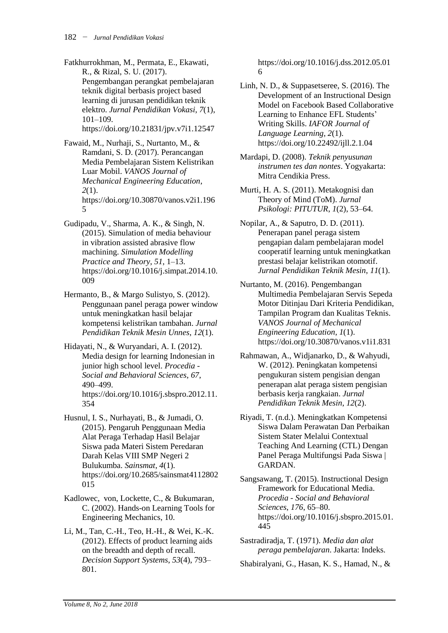Fatkhurrokhman, M., Permata, E., Ekawati, R., & Rizal, S. U. (2017). Pengembangan perangkat pembelajaran teknik digital berbasis project based learning di jurusan pendidikan teknik elektro. *Jurnal Pendidikan Vokasi*, *7*(1), 101–109. https://doi.org/10.21831/jpv.v7i1.12547

Fawaid, M., Nurhaji, S., Nurtanto, M., & Ramdani, S. D. (2017). Perancangan Media Pembelajaran Sistem Kelistrikan Luar Mobil. *VANOS Journal of Mechanical Engineering Education*, *2*(1). https://doi.org/10.30870/vanos.v2i1.196 5

- Gudipadu, V., Sharma, A. K., & Singh, N. (2015). Simulation of media behaviour in vibration assisted abrasive flow machining. *Simulation Modelling Practice and Theory*, *51*, 1–13. https://doi.org/10.1016/j.simpat.2014.10. 009
- Hermanto, B., & Margo Sulistyo, S. (2012). Penggunaan panel peraga power window untuk meningkatkan hasil belajar kompetensi kelistrikan tambahan. *Jurnal Pendidikan Teknik Mesin Unnes*, *12*(1).
- Hidayati, N., & Wuryandari, A. I. (2012). Media design for learning Indonesian in junior high school level. *Procedia - Social and Behavioral Sciences*, *67*, 490–499. https://doi.org/10.1016/j.sbspro.2012.11. 354
- Husnul, I. S., Nurhayati, B., & Jumadi, O. (2015). Pengaruh Penggunaan Media Alat Peraga Terhadap Hasil Belajar Siswa pada Materi Sistem Peredaran Darah Kelas VIII SMP Negeri 2 Bulukumba. *Sainsmat*, *4*(1). https://doi.org/10.2685/sainsmat4112802 015
- Kadlowec, von, Lockette, C., & Bukumaran, C. (2002). Hands-on Learning Tools for Engineering Mechanics, 10.
- Li, M., Tan, C.-H., Teo, H.-H., & Wei, K.-K. (2012). Effects of product learning aids on the breadth and depth of recall. *Decision Support Systems*, *53*(4), 793– 801.

https://doi.org/10.1016/j.dss.2012.05.01 6

- Linh, N. D., & Suppasetseree, S. (2016). The Development of an Instructional Design Model on Facebook Based Collaborative Learning to Enhance EFL Students' Writing Skills. *IAFOR Journal of Language Learning*, *2*(1). https://doi.org/10.22492/ijll.2.1.04
- Mardapi, D. (2008). *Teknik penyusunan instrumen tes dan nontes*. Yogyakarta: Mitra Cendikia Press.
- Murti, H. A. S. (2011). Metakognisi dan Theory of Mind (ToM). *Jurnal Psikologi: PITUTUR*, *1*(2), 53–64.
- Nopilar, A., & Saputro, D. D. (2011). Penerapan panel peraga sistem pengapian dalam pembelajaran model cooperatif learning untuk meningkatkan prestasi belajar kelistrikan otomotif. *Jurnal Pendidikan Teknik Mesin*, *11*(1).
- Nurtanto, M. (2016). Pengembangan Multimedia Pembelajaran Servis Sepeda Motor Ditinjau Dari Kriteria Pendidikan, Tampilan Program dan Kualitas Teknis. *VANOS Journal of Mechanical Engineering Education*, *1*(1). https://doi.org/10.30870/vanos.v1i1.831
- Rahmawan, A., Widjanarko, D., & Wahyudi, W. (2012). Peningkatan kompetensi pengukuran sistem pengisian dengan penerapan alat peraga sistem pengisian berbasis kerja rangkaian. *Jurnal Pendidikan Teknik Mesin*, *12*(2).
- Riyadi, T. (n.d.). Meningkatkan Kompetensi Siswa Dalam Perawatan Dan Perbaikan Sistem Stater Melalui Contextual Teaching And Learning (CTL) Dengan Panel Peraga Multifungsi Pada Siswa | GARDAN.
- Sangsawang, T. (2015). Instructional Design Framework for Educational Media. *Procedia - Social and Behavioral Sciences*, *176*, 65–80. https://doi.org/10.1016/j.sbspro.2015.01. 445
- Sastradiradja, T. (1971). *Media dan alat peraga pembelajaran*. Jakarta: Indeks.

Shabiralyani, G., Hasan, K. S., Hamad, N., &